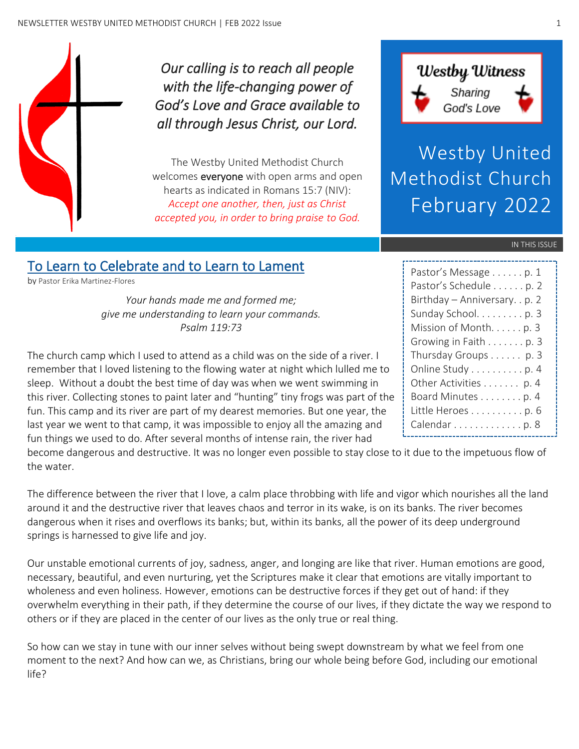

*Our calling is to reach all people with the life-changing power of God's Love and Grace available to all through Jesus Christ, our Lord.* 

The Westby United Methodist Church welcomes **everyone** with open arms and open hearts as indicated in Romans 15:7 (NIV): *Accept one another, then, just as Christ accepted you, in order to bring praise to God.*



Westby United Methodist Church February 2022

#### IN THIS ISSUE

## To Learn to Celebrate and to Learn to Lament

by Pastor Erika Martinez-Flores

*Your hands made me and formed me; give me understanding to learn your commands. Psalm 119:73*

The church camp which I used to attend as a child was on the side of a river. I remember that I loved listening to the flowing water at night which lulled me to sleep. Without a doubt the best time of day was when we went swimming in this river. Collecting stones to paint later and "hunting" tiny frogs was part of the fun. This camp and its river are part of my dearest memories. But one year, the last year we went to that camp, it was impossible to enjoy all the amazing and fun things we used to do. After several months of intense rain, the river had

become dangerous and destructive. It was no longer even possible to stay close to it due to the impetuous flow of the water.

The difference between the river that I love, a calm place throbbing with life and vigor which nourishes all the land around it and the destructive river that leaves chaos and terror in its wake, is on its banks. The river becomes dangerous when it rises and overflows its banks; but, within its banks, all the power of its deep underground springs is harnessed to give life and joy.

Our unstable emotional currents of joy, sadness, anger, and longing are like that river. Human emotions are good, necessary, beautiful, and even nurturing, yet the Scriptures make it clear that emotions are vitally important to wholeness and even holiness. However, emotions can be destructive forces if they get out of hand: if they overwhelm everything in their path, if they determine the course of our lives, if they dictate the way we respond to others or if they are placed in the center of our lives as the only true or real thing.

So how can we stay in tune with our inner selves without being swept downstream by what we feel from one moment to the next? And how can we, as Christians, bring our whole being before God, including our emotional life?

| Pastor's Message p. 1          |
|--------------------------------|
| Pastor's Schedule p. 2         |
| Birthday - Anniversary. . p. 2 |
| Sunday School. p. 3            |
| Mission of Month. p. 3         |
| Growing in Faith p. 3          |
| Thursday Groups p. 3           |
| Online Study p. 4              |
| Other Activities p. 4          |
| Board Minutes p. 4             |
| Little Heroes p. 6             |
| Calendar p. 8                  |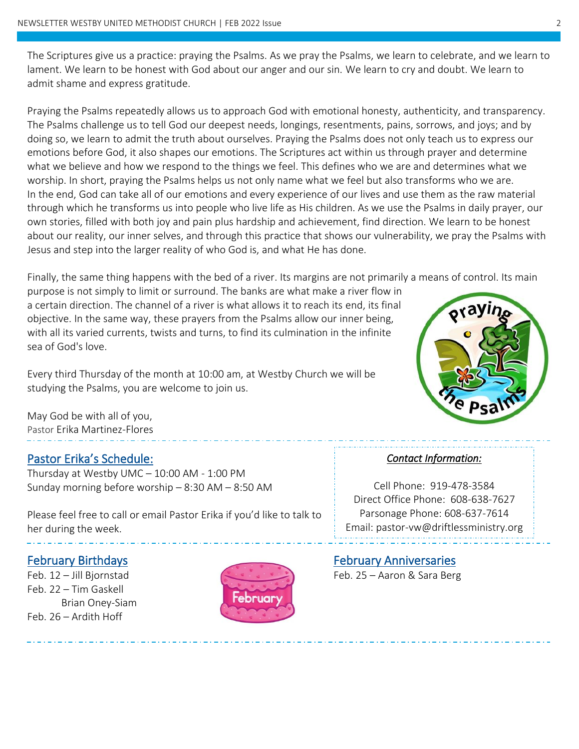The Scriptures give us a practice: praying the Psalms. As we pray the Psalms, we learn to celebrate, and we learn to lament. We learn to be honest with God about our anger and our sin. We learn to cry and doubt. We learn to admit shame and express gratitude.

Praying the Psalms repeatedly allows us to approach God with emotional honesty, authenticity, and transparency. The Psalms challenge us to tell God our deepest needs, longings, resentments, pains, sorrows, and joys; and by doing so, we learn to admit the truth about ourselves. Praying the Psalms does not only teach us to express our emotions before God, it also shapes our emotions. The Scriptures act within us through prayer and determine what we believe and how we respond to the things we feel. This defines who we are and determines what we worship. In short, praying the Psalms helps us not only name what we feel but also transforms who we are. In the end, God can take all of our emotions and every experience of our lives and use them as the raw material through which he transforms us into people who live life as His children. As we use the Psalms in daily prayer, our own stories, filled with both joy and pain plus hardship and achievement, find direction. We learn to be honest about our reality, our inner selves, and through this practice that shows our vulnerability, we pray the Psalms with Jesus and step into the larger reality of who God is, and what He has done.

Finally, the same thing happens with the bed of a river. Its margins are not primarily a means of control. Its main

purpose is not simply to limit or surround. The banks are what make a river flow in a certain direction. The channel of a river is what allows it to reach its end, its final objective. In the same way, these prayers from the Psalms allow our inner being, with all its varied currents, twists and turns, to find its culmination in the infinite sea of God's love.

Every third Thursday of the month at 10:00 am, at Westby Church we will be studying the Psalms, you are welcome to join us.

May God be with all of you, Pastor Erika Martinez-Flores

#### Pastor Erika's Schedule:

Thursday at Westby UMC – 10:00 AM - 1:00 PM Sunday morning before worship – 8:30 AM – 8:50 AM

Please feel free to call or email Pastor Erika if you'd like to talk to her during the week.

 $\overline{a}$ 

j

Feb. 22 – Tim Gaskell Brian Oney-Siam Feb. 26 – Ardith Hoff



#### *Contact Information:*

Cell Phone: 919-478-3584 Direct Office Phone: 608-638-7627 Parsonage Phone: 608-637-7614 Email: pastor-vw@driftlessministry.org

February Birthdays February Anniversaries

Feb. 12 – Jill Bjornstad **Feb. 25 – Aaron & Sara Berg**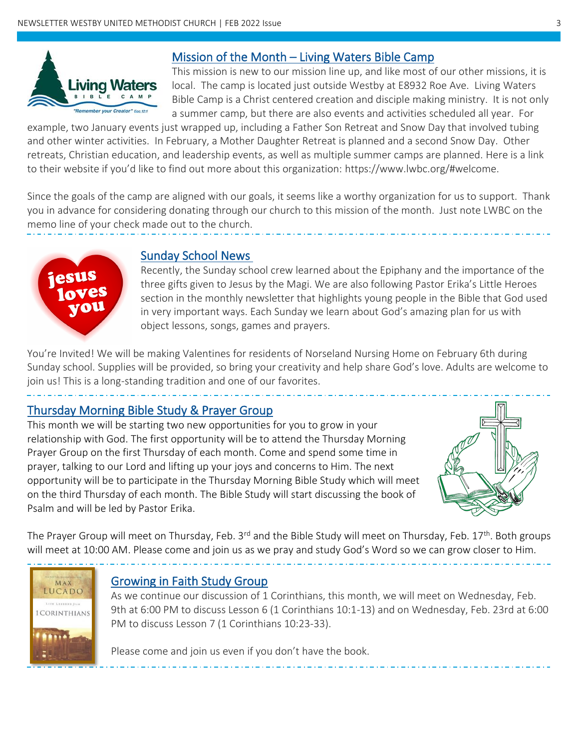

#### Mission of the Month – Living Waters Bible Camp

This mission is new to our mission line up, and like most of our other missions, it is local. The camp is located just outside Westby at E8932 Roe Ave. Living Waters Bible Camp is a Christ centered creation and disciple making ministry. It is not only a summer camp, but there are also events and activities scheduled all year. For

example, two January events just wrapped up, including a Father Son Retreat and Snow Day that involved tubing and other winter activities. In February, a Mother Daughter Retreat is planned and a second Snow Day. Other retreats, Christian education, and leadership events, as well as multiple summer camps are planned. Here is a link to their website if you'd like to find out more about this organization: https://www.lwbc.org/#welcome.

Since the goals of the camp are aligned with our goals, it seems like a worthy organization for us to support. Thank you in advance for considering donating through our church to this mission of the month. Just note LWBC on the memo line of your check made out to the church.



Ī

#### Sunday School News

Recently, the Sunday school crew learned about the Epiphany and the importance of the three gifts given to Jesus by the Magi. We are also following Pastor Erika's Little Heroes section in the monthly newsletter that highlights young people in the Bible that God used in very important ways. Each Sunday we learn about God's amazing plan for us with object lessons, songs, games and prayers.

You're Invited! We will be making Valentines for residents of Norseland Nursing Home on February 6th during Sunday school. Supplies will be provided, so bring your creativity and help share God's love. Adults are welcome to join us! This is a long-standing tradition and one of our favorites.

#### Thursday Morning Bible Study & Prayer Group

This month we will be starting two new opportunities for you to grow in your relationship with God. The first opportunity will be to attend the Thursday Morning Prayer Group on the first Thursday of each month. Come and spend some time in prayer, talking to our Lord and lifting up your joys and concerns to Him. The next opportunity will be to participate in the Thursday Morning Bible Study which will meet on the third Thursday of each month. The Bible Study will start discussing the book of Psalm and will be led by Pastor Erika.



The Prayer Group will meet on Thursday, Feb. 3<sup>rd</sup> and the Bible Study will meet on Thursday, Feb. 17<sup>th</sup>. Both groups will meet at 10:00 AM. Please come and join us as we pray and study God's Word so we can grow closer to Him.

# MAX LUCADO **CORINTHIANS**

 $\overline{a}$ 

#### Growing in Faith Study Group

As we continue our discussion of 1 Corinthians, this month, we will meet on Wednesday, Feb. 9th at 6:00 PM to discuss Lesson 6 (1 Corinthians 10:1-13) and on Wednesday, Feb. 23rd at 6:00 PM to discuss Lesson 7 (1 Corinthians 10:23-33).

Please come and join us even if you don't have the book.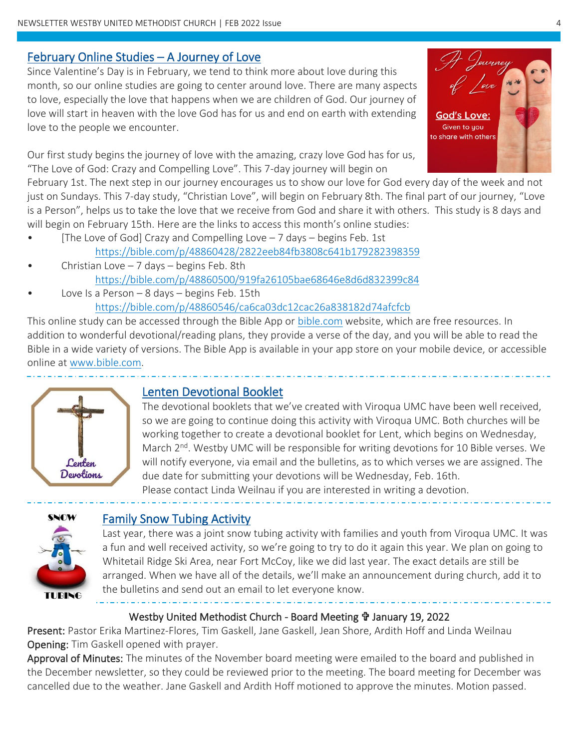#### February Online Studies – A Journey of Love

Since Valentine's Day is in February, we tend to think more about love during this month, so our online studies are going to center around love. There are many aspects to love, especially the love that happens when we are children of God. Our journey of love will start in heaven with the love God has for us and end on earth with extending love to the people we encounter.

Our first study begins the journey of love with the amazing, crazy love God has for us, "The Love of God: Crazy and Compelling Love". This 7-day journey will begin on

February 1st. The next step in our journey encourages us to show our love for God every day of the week and not just on Sundays. This 7-day study, "Christian Love", will begin on February 8th. The final part of our journey, "Love is a Person", helps us to take the love that we receive from God and share it with others. This study is 8 days and will begin on February 15th. Here are the links to access this month's online studies:

- [The Love of God] Crazy and Compelling Love 7 days begins Feb. 1st <https://bible.com/p/48860428/2822eeb84fb3808c641b179282398359>
- Christian Love  $-7$  days  $-$  begins Feb. 8th <https://bible.com/p/48860500/919fa26105bae68646e8d6d832399c84>
- Love Is a Person  $-$  8 days  $-$  begins Feb. 15th <https://bible.com/p/48860546/ca6ca03dc12cac26a838182d74afcfcb>

This online study can be accessed through the Bible App or [bible.com](http://www.bible.com/) website, which are free resources. In addition to wonderful devotional/reading plans, they provide a verse of the day, and you will be able to read the Bible in a wide variety of versions. The Bible App is available in your app store on your mobile device, or accessible online at [www.bible.com.](file:///C:/Users/Paul/Documents/Linda/Church%20Newsletter/Oct2021/www.bible.com)

í



## Lenten Devotional Booklet

The devotional booklets that we've created with Viroqua UMC have been well received, so we are going to continue doing this activity with Viroqua UMC. Both churches will be working together to create a devotional booklet for Lent, which begins on Wednesday, March 2<sup>nd</sup>. Westby UMC will be responsible for writing devotions for 10 Bible verses. We will notify everyone, via email and the bulletins, as to which verses we are assigned. The due date for submitting your devotions will be Wednesday, Feb. 16th. Please contact Linda Weilnau if you are interested in writing a devotion.



#### Family Snow Tubing Activity

Last year, there was a joint snow tubing activity with families and youth from Viroqua UMC. It was a fun and well received activity, so we're going to try to do it again this year. We plan on going to Whitetail Ridge Ski Area, near Fort McCoy, like we did last year. The exact details are still be arranged. When we have all of the details, we'll make an announcement during church, add it to the bulletins and send out an email to let everyone know.

#### Westby United Methodist Church - Board Meeting *I* January 19, 2022

Present: Pastor Erika Martinez-Flores, Tim Gaskell, Jane Gaskell, Jean Shore, Ardith Hoff and Linda Weilnau Opening: Tim Gaskell opened with prayer.

Approval of Minutes: The minutes of the November board meeting were emailed to the board and published in the December newsletter, so they could be reviewed prior to the meeting. The board meeting for December was cancelled due to the weather. Jane Gaskell and Ardith Hoff motioned to approve the minutes. Motion passed.

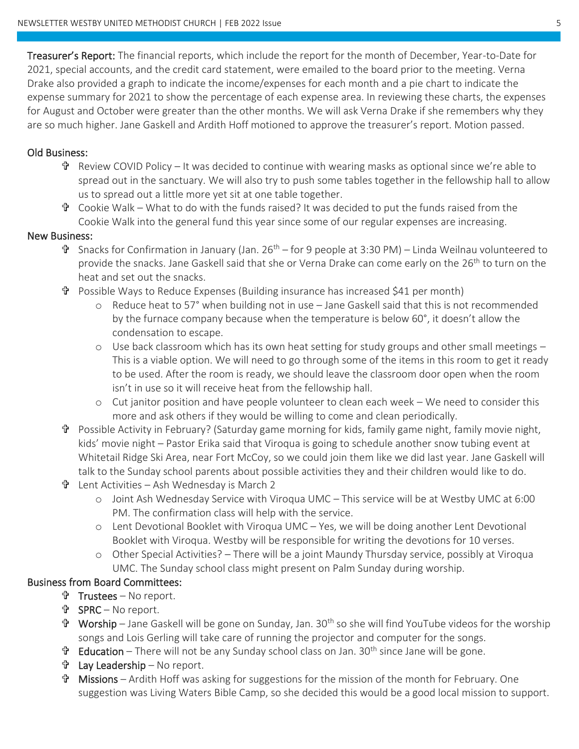Treasurer's Report: The financial reports, which include the report for the month of December, Year-to-Date for 2021, special accounts, and the credit card statement, were emailed to the board prior to the meeting. Verna Drake also provided a graph to indicate the income/expenses for each month and a pie chart to indicate the expense summary for 2021 to show the percentage of each expense area. In reviewing these charts, the expenses for August and October were greater than the other months. We will ask Verna Drake if she remembers why they are so much higher. Jane Gaskell and Ardith Hoff motioned to approve the treasurer's report. Motion passed.

#### Old Business:

- $\mathbf{\hat{P}}$  Review COVID Policy It was decided to continue with wearing masks as optional since we're able to spread out in the sanctuary. We will also try to push some tables together in the fellowship hall to allow us to spread out a little more yet sit at one table together.
- $\mathbf{\hat{v}}$  Cookie Walk What to do with the funds raised? It was decided to put the funds raised from the Cookie Walk into the general fund this year since some of our regular expenses are increasing.

#### New Business:

- $\mathbf{\hat{v}}$  Snacks for Confirmation in January (Jan. 26<sup>th</sup> for 9 people at 3:30 PM) Linda Weilnau volunteered to provide the snacks. Jane Gaskell said that she or Verna Drake can come early on the 26<sup>th</sup> to turn on the heat and set out the snacks.
- Possible Ways to Reduce Expenses (Building insurance has increased \$41 per month)
	- o Reduce heat to 57° when building not in use Jane Gaskell said that this is not recommended by the furnace company because when the temperature is below 60°, it doesn't allow the condensation to escape.
	- $\circ$  Use back classroom which has its own heat setting for study groups and other small meetings  $-$ This is a viable option. We will need to go through some of the items in this room to get it ready to be used. After the room is ready, we should leave the classroom door open when the room isn't in use so it will receive heat from the fellowship hall.
	- o Cut janitor position and have people volunteer to clean each week We need to consider this more and ask others if they would be willing to come and clean periodically.
- Possible Activity in February? (Saturday game morning for kids, family game night, family movie night, kids' movie night – Pastor Erika said that Viroqua is going to schedule another snow tubing event at Whitetail Ridge Ski Area, near Fort McCoy, so we could join them like we did last year. Jane Gaskell will talk to the Sunday school parents about possible activities they and their children would like to do.
- Lent Activities Ash Wednesday is March 2
	- o Joint Ash Wednesday Service with Viroqua UMC This service will be at Westby UMC at 6:00 PM. The confirmation class will help with the service.
	- o Lent Devotional Booklet with Viroqua UMC Yes, we will be doing another Lent Devotional Booklet with Viroqua. Westby will be responsible for writing the devotions for 10 verses.
	- o Other Special Activities? There will be a joint Maundy Thursday service, possibly at Viroqua UMC. The Sunday school class might present on Palm Sunday during worship.

#### Business from Board Committees:

- Trustees No report.
- SPRC No report.
- Worship Jane Gaskell will be gone on Sunday, Jan. 30th so she will find YouTube videos for the worship songs and Lois Gerling will take care of running the projector and computer for the songs.
- $\mathbf{\hat{T}}$  Education There will not be any Sunday school class on Jan. 30<sup>th</sup> since Jane will be gone.
- Lay Leadership No report.
- Missions Ardith Hoff was asking for suggestions for the mission of the month for February. One suggestion was Living Waters Bible Camp, so she decided this would be a good local mission to support.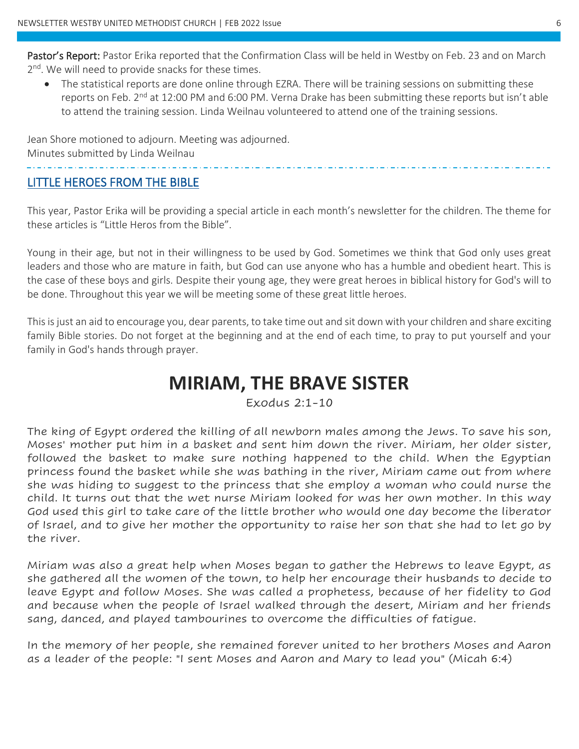Pastor's Report: Pastor Erika reported that the Confirmation Class will be held in Westby on Feb. 23 and on March 2<sup>nd</sup>. We will need to provide snacks for these times.

• The statistical reports are done online through EZRA. There will be training sessions on submitting these reports on Feb. 2<sup>nd</sup> at 12:00 PM and 6:00 PM. Verna Drake has been submitting these reports but isn't able to attend the training session. Linda Weilnau volunteered to attend one of the training sessions.

Jean Shore motioned to adjourn. Meeting was adjourned. Minutes submitted by Linda Weilnau

#### LITTLE HEROES FROM THE BIBLE

This year, Pastor Erika will be providing a special article in each month's newsletter for the children. The theme for these articles is "Little Heros from the Bible".

Young in their age, but not in their willingness to be used by God. Sometimes we think that God only uses great leaders and those who are mature in faith, but God can use anyone who has a humble and obedient heart. This is the case of these boys and girls. Despite their young age, they were great heroes in biblical history for God's will to be done. Throughout this year we will be meeting some of these great little heroes.

This is just an aid to encourage you, dear parents, to take time out and sit down with your children and share exciting family Bible stories. Do not forget at the beginning and at the end of each time, to pray to put yourself and your family in God's hands through prayer.

## **MIRIAM, THE BRAVE SISTER**

Exodus 2:1-10

The king of Egypt ordered the killing of all newborn males among the Jews. To save his son, Moses' mother put him in a basket and sent him down the river. Miriam, her older sister, followed the basket to make sure nothing happened to the child. When the Egyptian princess found the basket while she was bathing in the river, Miriam came out from where she was hiding to suggest to the princess that she employ a woman who could nurse the child. It turns out that the wet nurse Miriam looked for was her own mother. In this way God used this girl to take care of the little brother who would one day become the liberator of Israel, and to give her mother the opportunity to raise her son that she had to let go by the river.

Miriam was also a great help when Moses began to gather the Hebrews to leave Egypt, as she gathered all the women of the town, to help her encourage their husbands to decide to leave Egypt and follow Moses. She was called a prophetess, because of her fidelity to God and because when the people of Israel walked through the desert, Miriam and her friends sang, danced, and played tambourines to overcome the difficulties of fatigue.

In the memory of her people, she remained forever united to her brothers Moses and Aaron as a leader of the people: "I sent Moses and Aaron and Mary to lead you" (Micah 6:4)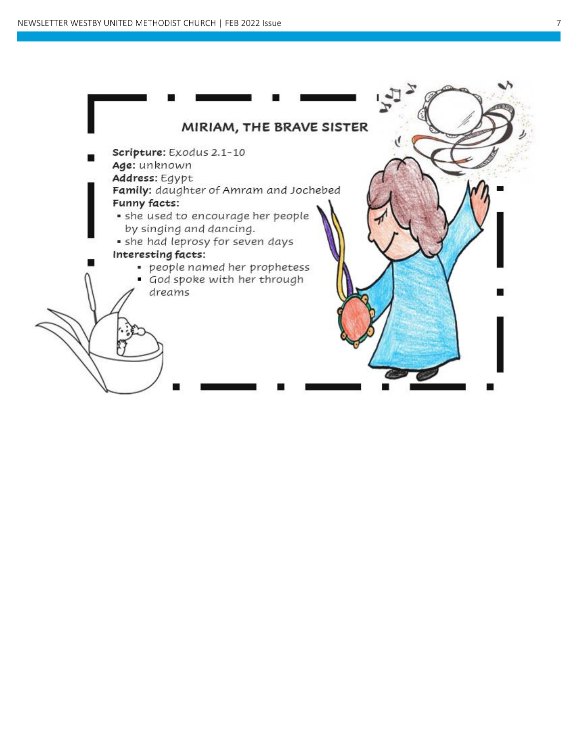